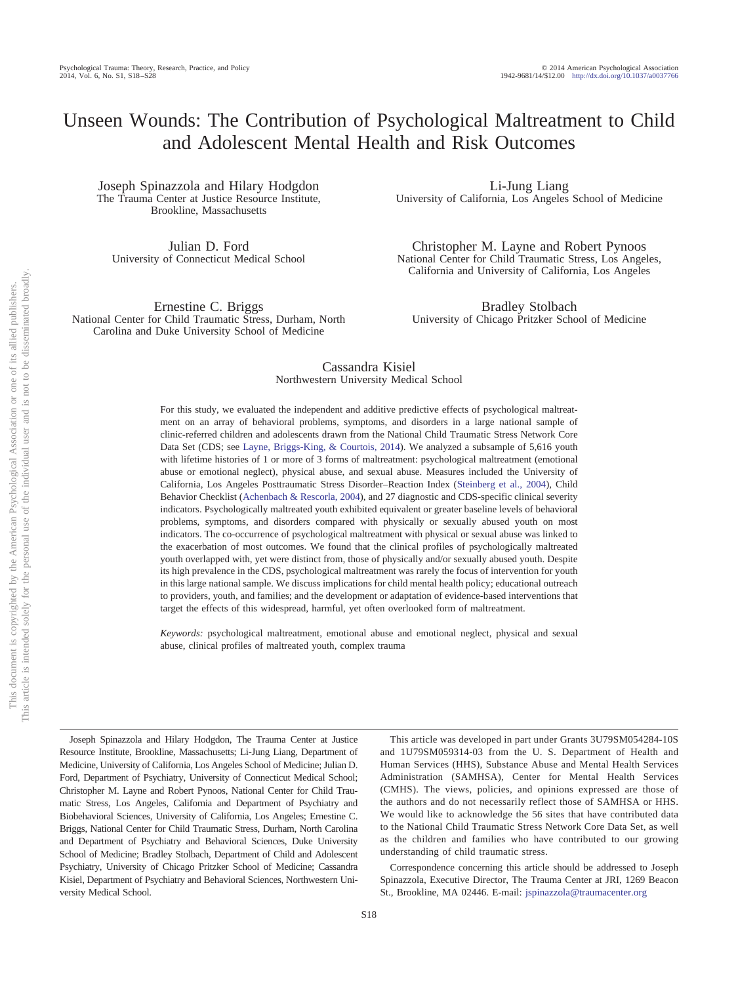# Unseen Wounds: The Contribution of Psychological Maltreatment to Child and Adolescent Mental Health and Risk Outcomes

Joseph Spinazzola and Hilary Hodgdon The Trauma Center at Justice Resource Institute, Brookline, Massachusetts

Julian D. Ford University of Connecticut Medical School

Ernestine C. Briggs National Center for Child Traumatic Stress, Durham, North Carolina and Duke University School of Medicine

Li-Jung Liang University of California, Los Angeles School of Medicine

Christopher M. Layne and Robert Pynoos National Center for Child Traumatic Stress, Los Angeles, California and University of California, Los Angeles

Bradley Stolbach University of Chicago Pritzker School of Medicine

### Cassandra Kisiel Northwestern University Medical School

For this study, we evaluated the independent and additive predictive effects of psychological maltreatment on an array of behavioral problems, symptoms, and disorders in a large national sample of clinic-referred children and adolescents drawn from the National Child Traumatic Stress Network Core Data Set (CDS; see [Layne, Briggs-King, & Courtois, 2014\)](#page-9-0). We analyzed a subsample of 5,616 youth with lifetime histories of 1 or more of 3 forms of maltreatment: psychological maltreatment (emotional abuse or emotional neglect), physical abuse, and sexual abuse. Measures included the University of California, Los Angeles Posttraumatic Stress Disorder–Reaction Index [\(Steinberg et al., 2004\)](#page-10-0), Child Behavior Checklist [\(Achenbach & Rescorla, 2004\)](#page-8-0), and 27 diagnostic and CDS-specific clinical severity indicators. Psychologically maltreated youth exhibited equivalent or greater baseline levels of behavioral problems, symptoms, and disorders compared with physically or sexually abused youth on most indicators. The co-occurrence of psychological maltreatment with physical or sexual abuse was linked to the exacerbation of most outcomes. We found that the clinical profiles of psychologically maltreated youth overlapped with, yet were distinct from, those of physically and/or sexually abused youth. Despite its high prevalence in the CDS, psychological maltreatment was rarely the focus of intervention for youth in this large national sample. We discuss implications for child mental health policy; educational outreach to providers, youth, and families; and the development or adaptation of evidence-based interventions that target the effects of this widespread, harmful, yet often overlooked form of maltreatment.

*Keywords:* psychological maltreatment, emotional abuse and emotional neglect, physical and sexual abuse, clinical profiles of maltreated youth, complex trauma

Joseph Spinazzola and Hilary Hodgdon, The Trauma Center at Justice Resource Institute, Brookline, Massachusetts; Li-Jung Liang, Department of Medicine, University of California, Los Angeles School of Medicine; Julian D. Ford, Department of Psychiatry, University of Connecticut Medical School; Christopher M. Layne and Robert Pynoos, National Center for Child Traumatic Stress, Los Angeles, California and Department of Psychiatry and Biobehavioral Sciences, University of California, Los Angeles; Ernestine C. Briggs, National Center for Child Traumatic Stress, Durham, North Carolina and Department of Psychiatry and Behavioral Sciences, Duke University School of Medicine; Bradley Stolbach, Department of Child and Adolescent Psychiatry, University of Chicago Pritzker School of Medicine; Cassandra Kisiel, Department of Psychiatry and Behavioral Sciences, Northwestern University Medical School.

This article was developed in part under Grants 3U79SM054284-10S and 1U79SM059314-03 from the U. S. Department of Health and Human Services (HHS), Substance Abuse and Mental Health Services Administration (SAMHSA), Center for Mental Health Services (CMHS). The views, policies, and opinions expressed are those of the authors and do not necessarily reflect those of SAMHSA or HHS. We would like to acknowledge the 56 sites that have contributed data to the National Child Traumatic Stress Network Core Data Set, as well as the children and families who have contributed to our growing understanding of child traumatic stress.

Correspondence concerning this article should be addressed to Joseph Spinazzola, Executive Director, The Trauma Center at JRI, 1269 Beacon St., Brookline, MA 02446. E-mail: [jspinazzola@traumacenter.org](mailto:jspinazzola@traumacenter.org)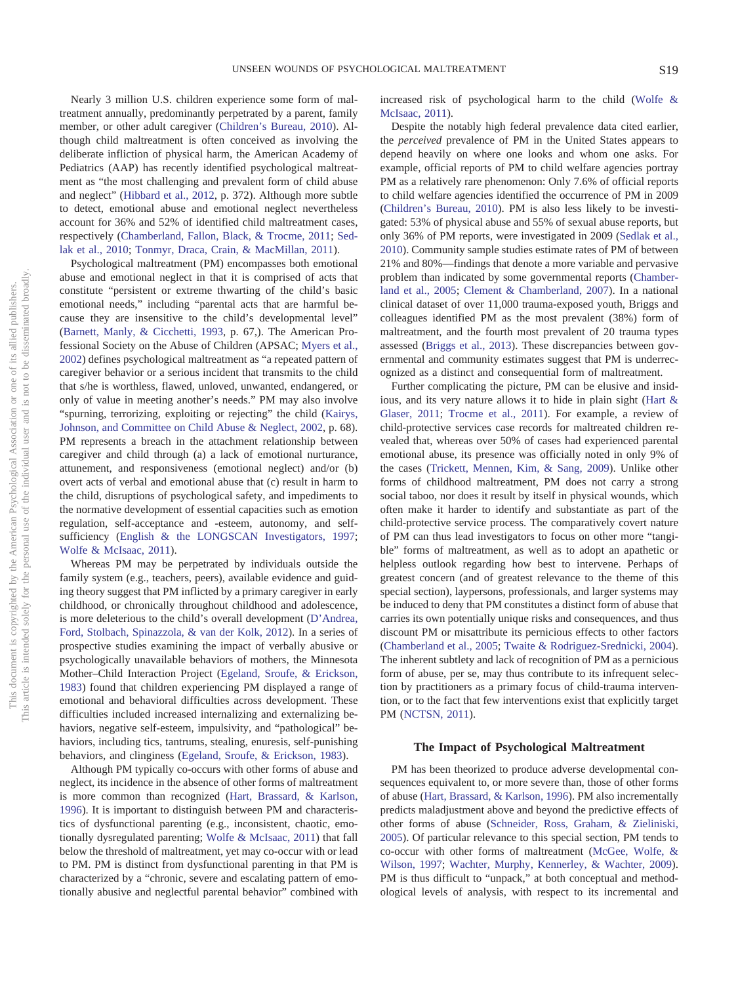Nearly 3 million U.S. children experience some form of maltreatment annually, predominantly perpetrated by a parent, family member, or other adult caregiver [\(Children's Bureau, 2010\)](#page-10-1). Although child maltreatment is often conceived as involving the deliberate infliction of physical harm, the American Academy of Pediatrics (AAP) has recently identified psychological maltreatment as "the most challenging and prevalent form of child abuse and neglect" [\(Hibbard et al., 2012,](#page-9-1) p. 372). Although more subtle to detect, emotional abuse and emotional neglect nevertheless account for 36% and 52% of identified child maltreatment cases, respectively [\(Chamberland, Fallon, Black, & Trocme, 2011;](#page-9-2) [Sed](#page-9-3)[lak et al., 2010;](#page-9-3) [Tonmyr, Draca, Crain, & MacMillan, 2011\)](#page-10-2).

Psychological maltreatment (PM) encompasses both emotional abuse and emotional neglect in that it is comprised of acts that constitute "persistent or extreme thwarting of the child's basic emotional needs," including "parental acts that are harmful because they are insensitive to the child's developmental level" [\(Barnett, Manly, & Cicchetti, 1993,](#page-8-1) p. 67,). The American Professional Society on the Abuse of Children (APSAC; [Myers et al.,](#page-9-4) [2002\)](#page-9-4) defines psychological maltreatment as "a repeated pattern of caregiver behavior or a serious incident that transmits to the child that s/he is worthless, flawed, unloved, unwanted, endangered, or only of value in meeting another's needs." PM may also involve "spurning, terrorizing, exploiting or rejecting" the child [\(Kairys,](#page-9-5) [Johnson, and Committee on Child Abuse & Neglect, 2002,](#page-9-5) p. 68). PM represents a breach in the attachment relationship between caregiver and child through (a) a lack of emotional nurturance, attunement, and responsiveness (emotional neglect) and/or (b) overt acts of verbal and emotional abuse that (c) result in harm to the child, disruptions of psychological safety, and impediments to the normative development of essential capacities such as emotion regulation, self-acceptance and -esteem, autonomy, and self-sufficiency [\(English & the LONGSCAN Investigators, 1997;](#page-9-6) [Wolfe & McIsaac, 2011\)](#page-10-3).

Whereas PM may be perpetrated by individuals outside the family system (e.g., teachers, peers), available evidence and guiding theory suggest that PM inflicted by a primary caregiver in early childhood, or chronically throughout childhood and adolescence, is more deleterious to the child's overall development [\(D'Andrea,](#page-9-7) [Ford, Stolbach, Spinazzola, & van der Kolk, 2012\)](#page-9-7). In a series of prospective studies examining the impact of verbally abusive or psychologically unavailable behaviors of mothers, the Minnesota Mother–Child Interaction Project [\(Egeland, Sroufe, & Erickson,](#page-9-8) [1983\)](#page-9-8) found that children experiencing PM displayed a range of emotional and behavioral difficulties across development. These difficulties included increased internalizing and externalizing behaviors, negative self-esteem, impulsivity, and "pathological" behaviors, including tics, tantrums, stealing, enuresis, self-punishing behaviors, and clinginess [\(Egeland, Sroufe, & Erickson, 1983\)](#page-9-8).

Although PM typically co-occurs with other forms of abuse and neglect, its incidence in the absence of other forms of maltreatment is more common than recognized [\(Hart, Brassard, & Karlson,](#page-9-9) [1996\)](#page-9-9). It is important to distinguish between PM and characteristics of dysfunctional parenting (e.g., inconsistent, chaotic, emotionally dysregulated parenting; [Wolfe & McIsaac, 2011\)](#page-10-3) that fall below the threshold of maltreatment, yet may co-occur with or lead to PM. PM is distinct from dysfunctional parenting in that PM is characterized by a "chronic, severe and escalating pattern of emotionally abusive and neglectful parental behavior" combined with increased risk of psychological harm to the child [\(Wolfe &](#page-10-3) [McIsaac, 2011\)](#page-10-3).

Despite the notably high federal prevalence data cited earlier, the *perceived* prevalence of PM in the United States appears to depend heavily on where one looks and whom one asks. For example, official reports of PM to child welfare agencies portray PM as a relatively rare phenomenon: Only 7.6% of official reports to child welfare agencies identified the occurrence of PM in 2009 [\(Children's Bureau, 2010\)](#page-10-1). PM is also less likely to be investigated: 53% of physical abuse and 55% of sexual abuse reports, but only 36% of PM reports, were investigated in 2009 [\(Sedlak et al.,](#page-9-3) [2010\)](#page-9-3). Community sample studies estimate rates of PM of between 21% and 80%—findings that denote a more variable and pervasive problem than indicated by some governmental reports [\(Chamber](#page-9-10)[land et al., 2005;](#page-9-10) [Clement & Chamberland, 2007\)](#page-9-11). In a national clinical dataset of over 11,000 trauma-exposed youth, Briggs and colleagues identified PM as the most prevalent (38%) form of maltreatment, and the fourth most prevalent of 20 trauma types assessed [\(Briggs et al., 2013\)](#page-8-2). These discrepancies between governmental and community estimates suggest that PM is underrecognized as a distinct and consequential form of maltreatment.

Further complicating the picture, PM can be elusive and insidious, and its very nature allows it to hide in plain sight [\(Hart &](#page-9-12) [Glaser, 2011;](#page-9-12) [Trocme et al., 2011\)](#page-10-4). For example, a review of child-protective services case records for maltreated children revealed that, whereas over 50% of cases had experienced parental emotional abuse, its presence was officially noted in only 9% of the cases [\(Trickett, Mennen, Kim, & Sang, 2009\)](#page-10-5). Unlike other forms of childhood maltreatment, PM does not carry a strong social taboo, nor does it result by itself in physical wounds, which often make it harder to identify and substantiate as part of the child-protective service process. The comparatively covert nature of PM can thus lead investigators to focus on other more "tangible" forms of maltreatment, as well as to adopt an apathetic or helpless outlook regarding how best to intervene. Perhaps of greatest concern (and of greatest relevance to the theme of this special section), laypersons, professionals, and larger systems may be induced to deny that PM constitutes a distinct form of abuse that carries its own potentially unique risks and consequences, and thus discount PM or misattribute its pernicious effects to other factors [\(Chamberland et al., 2005;](#page-9-10) [Twaite & Rodriguez-Srednicki, 2004\)](#page-10-6). The inherent subtlety and lack of recognition of PM as a pernicious form of abuse, per se, may thus contribute to its infrequent selection by practitioners as a primary focus of child-trauma intervention, or to the fact that few interventions exist that explicitly target PM [\(NCTSN, 2011\)](#page-9-13).

### **The Impact of Psychological Maltreatment**

PM has been theorized to produce adverse developmental consequences equivalent to, or more severe than, those of other forms of abuse [\(Hart, Brassard, & Karlson, 1996\)](#page-9-9). PM also incrementally predicts maladjustment above and beyond the predictive effects of other forms of abuse [\(Schneider, Ross, Graham, & Zieliniski,](#page-9-14) [2005\)](#page-9-14). Of particular relevance to this special section, PM tends to co-occur with other forms of maltreatment [\(McGee, Wolfe, &](#page-9-15) [Wilson, 1997;](#page-9-15) [Wachter, Murphy, Kennerley, & Wachter, 2009\)](#page-10-7). PM is thus difficult to "unpack," at both conceptual and methodological levels of analysis, with respect to its incremental and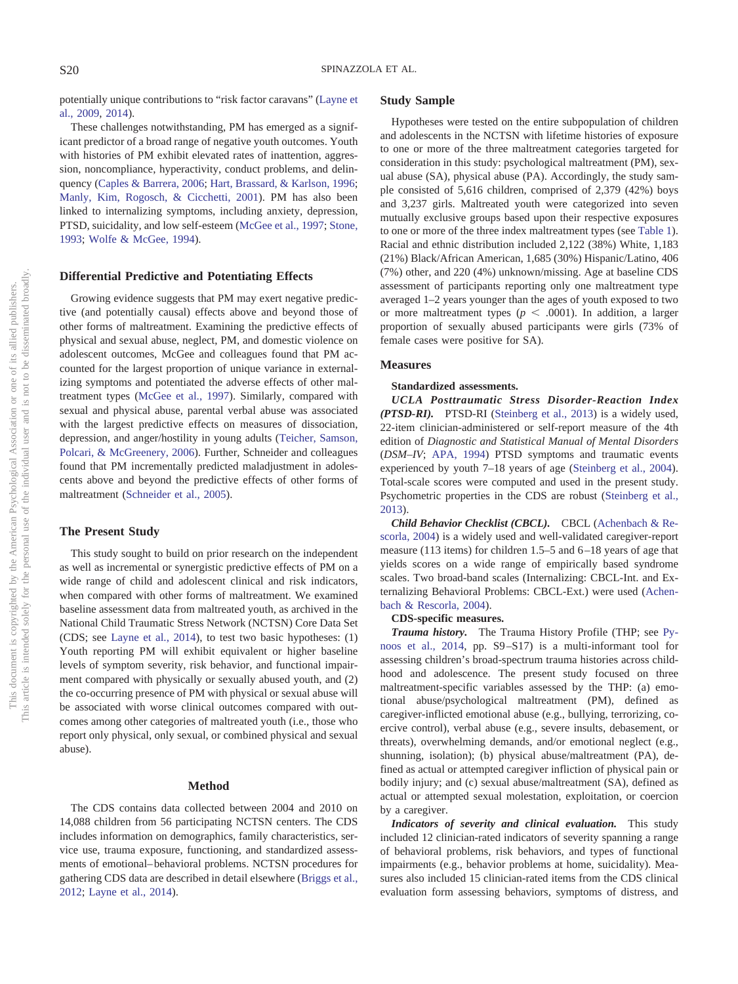potentially unique contributions to "risk factor caravans" [\(Layne et](#page-9-16) [al., 2009,](#page-9-16) [2014\)](#page-9-0).

These challenges notwithstanding, PM has emerged as a significant predictor of a broad range of negative youth outcomes. Youth with histories of PM exhibit elevated rates of inattention, aggression, noncompliance, hyperactivity, conduct problems, and delinquency [\(Caples & Barrera, 2006;](#page-9-17) [Hart, Brassard, & Karlson, 1996;](#page-9-9) [Manly, Kim, Rogosch, & Cicchetti, 2001\)](#page-9-18). PM has also been linked to internalizing symptoms, including anxiety, depression, PTSD, suicidality, and low self-esteem [\(McGee et al., 1997;](#page-9-15) [Stone,](#page-10-8) [1993;](#page-10-8) [Wolfe & McGee, 1994\)](#page-10-9).

### **Differential Predictive and Potentiating Effects**

Growing evidence suggests that PM may exert negative predictive (and potentially causal) effects above and beyond those of other forms of maltreatment. Examining the predictive effects of physical and sexual abuse, neglect, PM, and domestic violence on adolescent outcomes, McGee and colleagues found that PM accounted for the largest proportion of unique variance in externalizing symptoms and potentiated the adverse effects of other maltreatment types [\(McGee et al., 1997\)](#page-9-15). Similarly, compared with sexual and physical abuse, parental verbal abuse was associated with the largest predictive effects on measures of dissociation, depression, and anger/hostility in young adults [\(Teicher, Samson,](#page-10-10) [Polcari, & McGreenery, 2006\)](#page-10-10). Further, Schneider and colleagues found that PM incrementally predicted maladjustment in adolescents above and beyond the predictive effects of other forms of maltreatment [\(Schneider et al., 2005\)](#page-9-14).

### **The Present Study**

This study sought to build on prior research on the independent as well as incremental or synergistic predictive effects of PM on a wide range of child and adolescent clinical and risk indicators, when compared with other forms of maltreatment. We examined baseline assessment data from maltreated youth, as archived in the National Child Traumatic Stress Network (NCTSN) Core Data Set (CDS; see [Layne et al., 2014\)](#page-9-0), to test two basic hypotheses: (1) Youth reporting PM will exhibit equivalent or higher baseline levels of symptom severity, risk behavior, and functional impairment compared with physically or sexually abused youth, and (2) the co-occurring presence of PM with physical or sexual abuse will be associated with worse clinical outcomes compared with outcomes among other categories of maltreated youth (i.e., those who report only physical, only sexual, or combined physical and sexual abuse).

### **Method**

The CDS contains data collected between 2004 and 2010 on 14,088 children from 56 participating NCTSN centers. The CDS includes information on demographics, family characteristics, service use, trauma exposure, functioning, and standardized assessments of emotional– behavioral problems. NCTSN procedures for gathering CDS data are described in detail elsewhere [\(Briggs et al.,](#page-9-19) [2012;](#page-9-19) [Layne et al., 2014\)](#page-9-0).

### **Study Sample**

Hypotheses were tested on the entire subpopulation of children and adolescents in the NCTSN with lifetime histories of exposure to one or more of the three maltreatment categories targeted for consideration in this study: psychological maltreatment (PM), sexual abuse (SA), physical abuse (PA). Accordingly, the study sample consisted of 5,616 children, comprised of 2,379 (42%) boys and 3,237 girls. Maltreated youth were categorized into seven mutually exclusive groups based upon their respective exposures to one or more of the three index maltreatment types (see [Table 1\)](#page-3-0). Racial and ethnic distribution included 2,122 (38%) White, 1,183 (21%) Black/African American, 1,685 (30%) Hispanic/Latino, 406 (7%) other, and 220 (4%) unknown/missing. Age at baseline CDS assessment of participants reporting only one maltreatment type averaged 1–2 years younger than the ages of youth exposed to two or more maltreatment types ( $p < .0001$ ). In addition, a larger proportion of sexually abused participants were girls (73% of female cases were positive for SA).

### **Measures**

### **Standardized assessments.**

*UCLA Posttraumatic Stress Disorder-Reaction Index (PTSD-RI).* PTSD-RI [\(Steinberg et al., 2013\)](#page-10-11) is a widely used, 22-item clinician-administered or self-report measure of the 4th edition of *Diagnostic and Statistical Manual of Mental Disorders* (*DSM–IV*; [APA, 1994\)](#page-8-3) PTSD symptoms and traumatic events experienced by youth 7–18 years of age [\(Steinberg et al., 2004\)](#page-10-0). Total-scale scores were computed and used in the present study. Psychometric properties in the CDS are robust [\(Steinberg et al.,](#page-10-11) [2013\)](#page-10-11).

*Child Behavior Checklist (CBCL).* CBCL [\(Achenbach & Re](#page-8-0)[scorla, 2004\)](#page-8-0) is a widely used and well-validated caregiver-report measure (113 items) for children 1.5–5 and 6 –18 years of age that yields scores on a wide range of empirically based syndrome scales. Two broad-band scales (Internalizing: CBCL-Int. and Externalizing Behavioral Problems: CBCL-Ext.) were used [\(Achen](#page-8-0)[bach & Rescorla, 2004\)](#page-8-0).

### **CDS-specific measures.**

*Trauma history.* The Trauma History Profile (THP; see [Py](#page-9-20)[noos et al., 2014,](#page-9-20) pp. S9 –S17) is a multi-informant tool for assessing children's broad-spectrum trauma histories across childhood and adolescence. The present study focused on three maltreatment-specific variables assessed by the THP: (a) emotional abuse/psychological maltreatment (PM), defined as caregiver-inflicted emotional abuse (e.g., bullying, terrorizing, coercive control), verbal abuse (e.g., severe insults, debasement, or threats), overwhelming demands, and/or emotional neglect (e.g., shunning, isolation); (b) physical abuse/maltreatment (PA), defined as actual or attempted caregiver infliction of physical pain or bodily injury; and (c) sexual abuse/maltreatment (SA), defined as actual or attempted sexual molestation, exploitation, or coercion by a caregiver.

*Indicators of severity and clinical evaluation.* This study included 12 clinician-rated indicators of severity spanning a range of behavioral problems, risk behaviors, and types of functional impairments (e.g., behavior problems at home, suicidality). Measures also included 15 clinician-rated items from the CDS clinical evaluation form assessing behaviors, symptoms of distress, and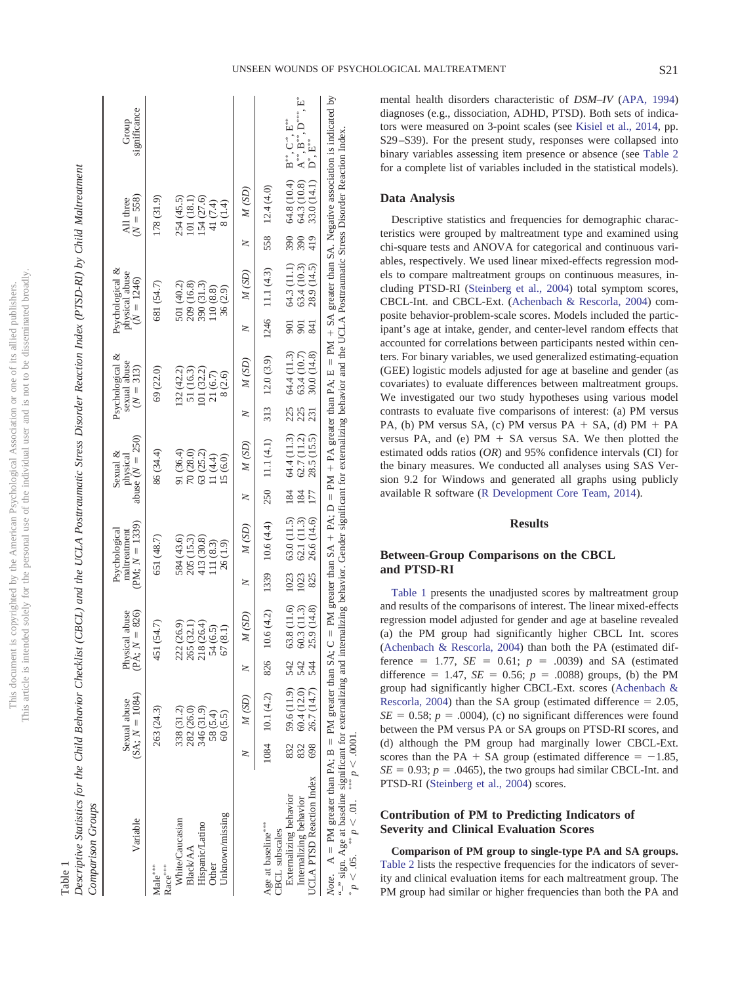| Comparison Groups                                                                                                                                                                                                                                                                                                                                                                                         |             |                                  |                   |                                    |            |                                                   |            |                                           |            |                                                |            |                                                   |            |                          |                                                                                                                         |
|-----------------------------------------------------------------------------------------------------------------------------------------------------------------------------------------------------------------------------------------------------------------------------------------------------------------------------------------------------------------------------------------------------------|-------------|----------------------------------|-------------------|------------------------------------|------------|---------------------------------------------------|------------|-------------------------------------------|------------|------------------------------------------------|------------|---------------------------------------------------|------------|--------------------------|-------------------------------------------------------------------------------------------------------------------------|
| Variable                                                                                                                                                                                                                                                                                                                                                                                                  |             | $(SA; N = 1084)$<br>Sexual abuse |                   | Physical abuse<br>(PA; $N = 826$ ) |            | $(PM; N = 1339)$<br>Psychological<br>maltreatment |            | abuse $(N = 250)$<br>Sexual &<br>physical |            | Psychological &<br>sexual abuse<br>$(N = 313)$ |            | Psychological &<br>physical abuse<br>$(N = 1246)$ |            | $(N = 558)$<br>All three | significance<br>Group                                                                                                   |
| Male***<br>$Race***$                                                                                                                                                                                                                                                                                                                                                                                      |             | 263 (24.3)                       |                   | 51 (54.7)                          |            | 651 (48.7)                                        |            | 86 (34.4)                                 |            | 69 (22.0)                                      |            | 681 (54.7)                                        |            | 178 (31.9)               |                                                                                                                         |
| White/Caucasian                                                                                                                                                                                                                                                                                                                                                                                           |             | 338 (31.2)                       | Ń                 | 22 (26.9)                          |            | 584 (43.6)                                        |            | 91 (36.4)                                 |            | 32(42.2)                                       |            | 501 (40.2)                                        |            | 254 (45.5)               |                                                                                                                         |
| <b>Black/AA</b>                                                                                                                                                                                                                                                                                                                                                                                           |             | 282 (26.0)                       | $\mathbf{C}$      | (32.1)                             |            |                                                   |            | 70(28.0)                                  |            | 51 (16.3)                                      |            | 209 (16.8)                                        |            | 101 (18.1)               |                                                                                                                         |
| Hispanic/Latino                                                                                                                                                                                                                                                                                                                                                                                           |             | 346 (31.9)                       | $\mathbf{C}$      | 18(26.4)                           |            | 205 (15.3)<br>413 (30.8)                          |            | 63(25.2)                                  |            | (32.2)                                         |            | 390 (31.3)                                        |            | 154 (27.6)               |                                                                                                                         |
| Other                                                                                                                                                                                                                                                                                                                                                                                                     |             | 58 (5.4)                         |                   | 54 (6.5)                           |            | 111 (8.3)                                         |            | 11 (4.4)                                  |            | 21(6.7)                                        |            | 110(8.8)                                          |            | 41 (7.4)                 |                                                                                                                         |
| Unknown/missing                                                                                                                                                                                                                                                                                                                                                                                           |             | 60 (5.5)                         |                   | 67(8.1)                            |            | 26 (1.9)                                          |            | 15(6.0)                                   |            | 8 (2.6)                                        |            | 36 (2.9)                                          |            | 8(1.4)                   |                                                                                                                         |
|                                                                                                                                                                                                                                                                                                                                                                                                           |             | M(SD)                            | 2                 | M(SD)                              | z          | M(SD)                                             | $\geq$     | M(SD)                                     | $\geq$     | M(SD)                                          | z          | M(SD)                                             | $\geq$     | M(SD)                    |                                                                                                                         |
| Age at baseline***<br>CBCL subscales                                                                                                                                                                                                                                                                                                                                                                      |             | 1084 10.1 (4.2)                  | 826               | 10.6(4.2)                          | 1339       | 10.6(4.4)                                         |            | 250 11.1 (4.1)                            |            | 313 12.0 (3.9)                                 |            | $1246$ 11.1 $(4.3)$                               |            | 558 12.4 (4.0)           |                                                                                                                         |
| Externalizing behavior                                                                                                                                                                                                                                                                                                                                                                                    | 832         | 59.6 (11.9)                      |                   | 63.8 (11.6)                        | 1023       | 63.0 (11.5)                                       | 184        |                                           |            |                                                | 901        | 64.3(11.1)                                        | 390        |                          |                                                                                                                         |
| <b>JCLA PTSD Reaction Index</b><br>Internalizing behavior                                                                                                                                                                                                                                                                                                                                                 | 832<br>698  | 26.7 (14.7)<br>60.4 (12.0)       | 542<br>542<br>544 | 60.3 (11.3)<br>25.9 (14.8)         | 825<br>023 | 26.6 (14.6)<br>62.1 (11.3)                        | 177<br>184 | 64.4 (11.3)<br>62.7 (11.2)<br>28.5 (15.5) | 225<br>231 | 64.4 (11.3)<br>63.4 (10.7)<br>30.0 (14.8)      | 901<br>841 | 28.9 (14.5)<br>63.4 (10.3)                        | 419<br>390 | 33.0 (14.1)              | 64.8 (10.4) $B^{**}$ , $C^{-*}$ , $B^{**}$<br>64.3 (10.8) $A^{**}$ , $B^{**}$ , $D^{***}$ , $E^{*}$<br>$D^*$ , $E^{**}$ |
|                                                                                                                                                                                                                                                                                                                                                                                                           |             |                                  |                   |                                    |            |                                                   |            |                                           |            |                                                |            |                                                   |            |                          |                                                                                                                         |
| <i>Note</i> . $A = PM$ greater than PA; $B = PM$ greater than SA; $C = PM = PA$ ; $D = PM + PA$ greater than PA; $E = PM + SA$ greater than SA. Negative association is indicated by<br>" sign. Age at baseline significant for externalizing and internalizing behavior. Gender significant for externalizing behavior and the UCLA Postraumatic Stress Disorder Reaction Index.<br>$\ddot{\phantom{0}}$ | $\sim$ 0.00 |                                  |                   |                                    |            |                                                   |            |                                           |            |                                                |            |                                                   |            |                          |                                                                                                                         |

# **Data Analysis**

Descriptive statistics and frequencies for demographic characteristics were grouped by maltreatment type and examined using chi-square tests and ANOVA for categorical and continuous variables, respectively. We used linear mixed-effects regression models to compare maltreatment groups on continuous measures, including PTSD-RI [\(Steinberg et al., 2004\)](#page-10-0) total symptom scores, CBCL-Int. and CBCL-Ext. [\(Achenbach & Rescorla, 2004\)](#page-8-0) composite behavior-problem-scale scores. Models included the participant's age at intake, gender, and center-level random effects that accounted for correlations between participants nested within centers. For binary variables, we used generalized estimating-equation (GEE) logistic models adjusted for age at baseline and gender (as covariates) to evaluate differences between maltreatment groups. We investigated our two study hypotheses using various model contrasts to evaluate five comparisons of interest: (a) PM versus PA, (b) PM versus SA, (c) PM versus PA  $+$  SA, (d) PM  $+$  PA versus PA, and (e)  $PM + SA$  versus SA. We then plotted the estimated odds ratios (*OR*) and 95% confidence intervals (CI) for the binary measures. We conducted all analyses using SAS Version 9.2 for Windows and generated all graphs using publicly available R software [\(R Development Core Team, 2014\)](#page-9-22).

### **Results**

## **Between-Group Comparisons on the CBCL and PTSD-RI**

[Table 1](#page-3-0) presents the unadjusted scores by maltreatment group and results of the comparisons of interest. The linear mixed-effects regression model adjusted for gender and age at baseline revealed (a) the PM group had significantly higher CBCL Int. scores [\(Achenbach & Rescorla, 2004\)](#page-8-0) than both the PA (estimated difference = 1.77,  $SE = 0.61$ ;  $p = .0039$ ) and SA (estimated difference = 1.47, *SE* = 0.56;  $p = .0088$ ) groups, (b) the PM group had significantly higher CBCL-Ext. scores [\(Achenbach &](#page-8-0) [Rescorla, 2004\)](#page-8-0) than the SA group (estimated difference  $= 2.05$ ,  $SE = 0.58$ ;  $p = .0004$ ), (c) no significant differences were found between the PM versus PA or SA groups on PTSD-RI scores, and (d) although the PM group had marginally lower CBCL-Ext. scores than the PA  $+$  SA group (estimated difference  $= -1.85$ ,  $SE = 0.93$ ;  $p = .0465$ ), the two groups had similar CBCL-Int. and PTSD-RI [\(Steinberg et al., 2004\)](#page-10-0) scores.

# **Contribution of PM to Predicting Indicators of Severity and Clinical Evaluation Scores**

<span id="page-3-0"></span>*p* -

 $\lt$  .05.  $p \lt$ 

 $\langle 0.01, e^{i\pi i t}\rangle > 0$ 

 $< 0001$ .

**Comparison of PM group to single-type PA and SA groups.** [Table 2](#page-4-0) lists the respective frequencies for the indicators of severity and clinical evaluation items for each maltreatment group. The PM group had similar or higher frequencies than both the PA and

 $\frac{1}{2}$ 

 $\mathbf{I}$ 

 $\overline{1}$ 

 $\overline{1}$  $\overline{1}$ 

# Table 1 Descriptive Statistics for the Child Behavior Checklist (CBCL) and the UCLA Posttraumatic Stress Disorder Reaction Index (PTSD-RI) by Child Maltre Descriptive Statistics for the Child Behavior Checklist (CBCL) and the UCLA Posttraumatic Stress Disorder Reaction Index (PTSD-RI) by Child Maltreatment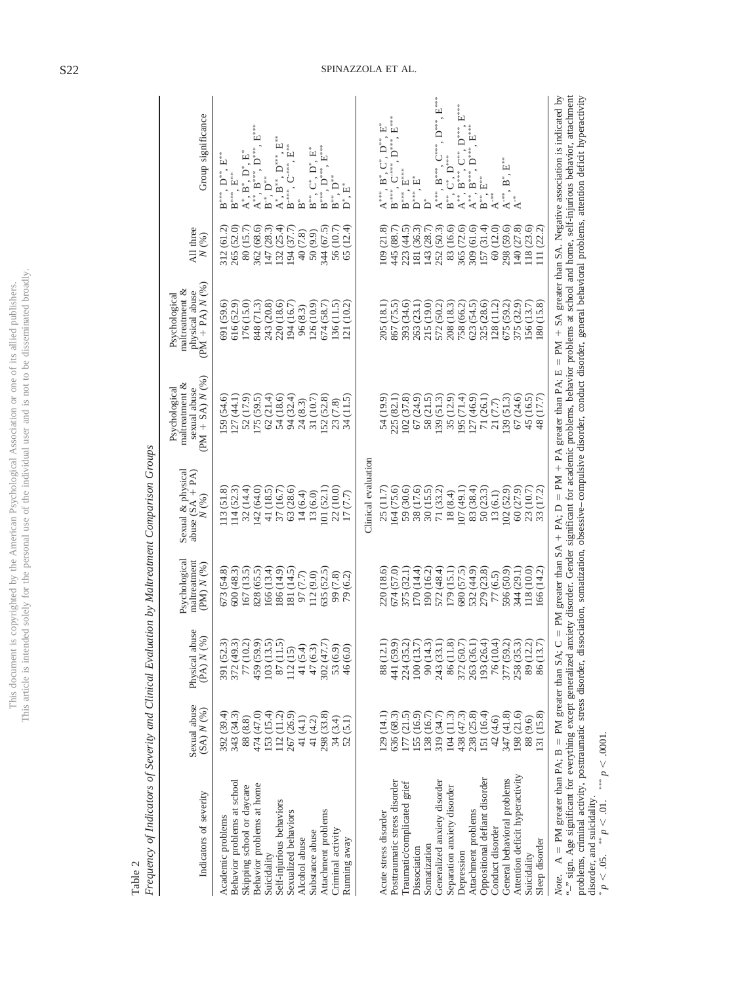| ו<br>נוב<br>Ä<br>Ś<br>$\overline{a}$<br>ï                           | てくぐ<br>i<br>ţ |
|---------------------------------------------------------------------|---------------|
| ì                                                                   |               |
|                                                                     |               |
|                                                                     |               |
|                                                                     |               |
| ì<br>)<br>j<br>١<br>ì<br>$\mathcal{L}_{\mathcal{L}}$                | l             |
| ċ<br>ì<br>ì                                                         | j             |
| ha                                                                  |               |
|                                                                     |               |
| j<br>į<br>l<br><sup>)</sup><br>j<br>.<br>.<br>.<br>.<br>i<br>ś<br>í |               |
| ¢<br>L'his d                                                        | ş<br>Ë<br>Ē   |

<span id="page-4-0"></span>Table 2

| ì<br>l<br>Ì                            |
|----------------------------------------|
| i<br>ļ<br>l<br>l                       |
|                                        |
|                                        |
|                                        |
| J                                      |
|                                        |
| $\frac{1}{2}$                          |
| Ì                                      |
|                                        |
| i<br>i<br>$\ddot{ }$<br>$\overline{1}$ |
| l<br>l                                 |
| ֞֘<br>ł<br>ı                           |
| ļ                                      |

| Indicators of severity                                                                                                                                                                                                                                                                                                                                                                   | Sexual abuse<br>(SA) N (%)                                                  | abuse<br>(96)<br>Physical<br>(PA)                                                                                                          | Psychological<br>maltreatment<br>$(PM)$ $N$ $(%)$           | Sexual & physical<br>abuse $(SA + PA)$<br>N(%) | PM + SA) $N$ (%<br>maltreatment &<br>Psychological<br>sexual abuse | $PM + PA$ $N$ (%)<br>maltreatment &<br>physical abuse<br>Psychological                                                           | All three<br>$N~(\%)$                                       | Group significance                                     |
|------------------------------------------------------------------------------------------------------------------------------------------------------------------------------------------------------------------------------------------------------------------------------------------------------------------------------------------------------------------------------------------|-----------------------------------------------------------------------------|--------------------------------------------------------------------------------------------------------------------------------------------|-------------------------------------------------------------|------------------------------------------------|--------------------------------------------------------------------|----------------------------------------------------------------------------------------------------------------------------------|-------------------------------------------------------------|--------------------------------------------------------|
| Academic problems                                                                                                                                                                                                                                                                                                                                                                        | 392 (39.4)                                                                  |                                                                                                                                            | 673 (54.8)                                                  | 13(51.8)                                       | 59 (54.6)                                                          | 591 (59.6)                                                                                                                       | 312(61.2)                                                   | ׆֕֡֩                                                   |
| Behavior problems at school                                                                                                                                                                                                                                                                                                                                                              | 343 (34.3)                                                                  | $\begin{array}{l} 391 \ (52.3) \\ 372 \ (49.3) \\ 77 \ (10.2) \\ 459 \ (59.9) \\ 103 \ (13.5) \\ 112 \ (15) \\ 112 \ (15) \end{array}$     | 600 (48.3)                                                  | 114(52.3)                                      | [27(44.1)]                                                         | 616 (52.9)                                                                                                                       | 265 (52.0)                                                  | $B^{***}$ , $E^{***}$                                  |
| Skipping school or daycare                                                                                                                                                                                                                                                                                                                                                               | 88 (8.8)                                                                    |                                                                                                                                            | 167 (13.5)                                                  | 32(14.4)                                       | 52 (17.9)                                                          | $\begin{array}{c} 176 \ (15.0) \\ 848 \ (71.3) \\ 243 \ (20.8) \end{array}$                                                      | 80 (15.7)                                                   |                                                        |
| Behavior problems at home                                                                                                                                                                                                                                                                                                                                                                | 474 (47.0)                                                                  |                                                                                                                                            | 828 (65.5)                                                  | 142 (64.0)                                     | 175(59.5)                                                          |                                                                                                                                  | $\begin{array}{c} 362 \ (68.6) \\ 147 \ (28.3) \end{array}$ | $A^{**}, B^{***}$<br>$B^{-*}, D^{**}$                  |
| Suicidality                                                                                                                                                                                                                                                                                                                                                                              |                                                                             |                                                                                                                                            | 166 (13.4)                                                  |                                                | 62(21.4)                                                           |                                                                                                                                  |                                                             |                                                        |
| Self-injurious behaviors                                                                                                                                                                                                                                                                                                                                                                 | $\begin{array}{c} 153 \ (15.4) \\ 112 \ (11.2) \\ 267 \ (26.9) \end{array}$ |                                                                                                                                            | 186 (14.9)                                                  | $41(18.5)$<br>$37(16.7)$                       | 54 (18.6)                                                          | $220(18.6)$<br>194 $(16.7)$                                                                                                      | 132(25.4)                                                   | $\mathbf{A}^*,$ $\mathbf{B}^{**},$ $\mathbf{D}^{***},$ |
| Sexualized behaviors                                                                                                                                                                                                                                                                                                                                                                     |                                                                             |                                                                                                                                            | $\begin{array}{c} 181 \; (14.5) \\ 97 \; (7.7) \end{array}$ | 63 (28.6)                                      | 94 (32.4)                                                          |                                                                                                                                  | 194 (37.7)                                                  | $B^{-***}$ , $C^{-***}$ , $E^{***}$                    |
| Alcohol abuse                                                                                                                                                                                                                                                                                                                                                                            |                                                                             |                                                                                                                                            |                                                             | 14(6.4)                                        | 24(8.3)                                                            | 96(8.3)                                                                                                                          | 40 (7.8)                                                    | $\mathbf{\hat{B}}^*$                                   |
| Substance abuse                                                                                                                                                                                                                                                                                                                                                                          | 41 $(4.1)$<br>41 $(4.2)$                                                    |                                                                                                                                            | 112 <sub>(9.0)</sub>                                        | 13 (6.0)                                       | 31 (10.7)                                                          | 126 (10.9)                                                                                                                       | 50 (9.9)                                                    | , $C^*$ , $D^*$ , $E^*$                                |
| Attachment problems                                                                                                                                                                                                                                                                                                                                                                      | 298 (33.8)                                                                  | 41 (5.4)<br>47 (6.3)<br>302 (47.7)                                                                                                         | 635 (52.5)                                                  | [01(52.1)]                                     | 152(52.8)                                                          | 674 (58.7)                                                                                                                       | 344 (67.5)                                                  | $B^{***}$ , $D^{***}$ , $E^{***}$                      |
| Criminal activity                                                                                                                                                                                                                                                                                                                                                                        | 34 (3.4)                                                                    |                                                                                                                                            | 99 (7.8)                                                    | 22 (10.0)                                      | 23 (7.8)                                                           | 136(11.5)                                                                                                                        | 56 (10.7)                                                   | $\sum_{i=1}^{n}$<br>$B^*$                              |
| Running away                                                                                                                                                                                                                                                                                                                                                                             | 52(5.1)                                                                     | $53(6.9)$<br>$46(6.0)$                                                                                                                     | 79 (6.2)                                                    | (7.7)<br>$\overline{17}$                       | 34(11.5)                                                           | (10.2)<br>$\overline{21}$                                                                                                        | (12.4)<br>65                                                |                                                        |
|                                                                                                                                                                                                                                                                                                                                                                                          |                                                                             |                                                                                                                                            |                                                             | Clinical evaluation                            |                                                                    |                                                                                                                                  |                                                             |                                                        |
| Acute stress disorder                                                                                                                                                                                                                                                                                                                                                                    | (14.1)                                                                      | 88 (12.1)                                                                                                                                  | 220 (18.6)                                                  | 25 (11.7)                                      | 54 (19.9)                                                          | 205 (18.1)                                                                                                                       | (21.8)<br>109(                                              | $A^{\ast\ast\ast}, B^\ast, C^\ast, D^{\ast\ast}, E$    |
| Posttraumatic stress disorder                                                                                                                                                                                                                                                                                                                                                            | 636 (68.3)                                                                  | 441 (59.9)                                                                                                                                 | 674 (57.0)                                                  | 164 (75.6)                                     | 225 (82.1)                                                         | 867 (75.5)                                                                                                                       | 445 (88.7)                                                  | $B^{-***}$ , $C^{-***}$ , $D^{***}$                    |
| Traumatic/complicated grief                                                                                                                                                                                                                                                                                                                                                              | 177(21.5)                                                                   |                                                                                                                                            | 375 (32.1)                                                  | 59 (30.6)                                      | 102(37.8)                                                          | 393 (34.6)                                                                                                                       | 223 (44.5)                                                  | $\mathrm{B}^{***}\!.$ $\mathrm{E}^{***}$               |
| Dissociation                                                                                                                                                                                                                                                                                                                                                                             | 155 (16.9)                                                                  |                                                                                                                                            | 170 (14.4)                                                  | 38 (17.6)                                      | 67 (24.9)                                                          | (23.1)<br>263                                                                                                                    | (36.3)<br>181                                               | $\mathsf{D}^{***}$                                     |
| Somatization                                                                                                                                                                                                                                                                                                                                                                             | 138 (16.7)                                                                  |                                                                                                                                            | 190 (16.2)                                                  |                                                | 58 (21.5)                                                          | (19.0)<br>215 <sub>0</sub>                                                                                                       | (28.7)<br>143                                               |                                                        |
| Generalized anxiety disorder                                                                                                                                                                                                                                                                                                                                                             | 319 (34.7)                                                                  | $\begin{array}{l} 224\ (35.2)\\ 100\ (13.7)\\ 100\ (14.3)\\ 90\ (14.3)\\ 243\ (33.1)\\ 86\ (11.8)\\ 372\ (50.7)\\ 263\ (36.1) \end{array}$ | 572 (48.4)                                                  | $30(15.5)$<br>71 $(33.2)$                      | 139(51.3)                                                          | $\begin{array}{l} 572\ (50.2)\\ 208\ (18.3)\\ 758\ (66.2)\\ 623\ (54.5)\\ 325\ (28.6)\\ 128\ (11.2)\\ 128\ (11.2)\\ \end{array}$ | 252 (50.3)<br>83 (16.6)<br>365 (72.6)<br>309 (61.6)         | $A^{***}$ , $B^{***}$ , $C^{***}$ , $D^{***}$          |
| Separation anxiety disorder                                                                                                                                                                                                                                                                                                                                                              | 104(11.3)                                                                   |                                                                                                                                            | 179 (15.1)                                                  | 18(8.4)                                        | 35 (12.9)                                                          |                                                                                                                                  |                                                             | $\mathrm{C}^*$ , $\mathrm{D}^{***}$<br>B <sup>**</sup> |
| Depression                                                                                                                                                                                                                                                                                                                                                                               | $\begin{array}{c} 438 \ (47.3) \\ 238 \ (25.8) \\ 151 \ (16.4) \end{array}$ |                                                                                                                                            | 680 (57.5)                                                  | 107(49.1)                                      | (95(71.4)                                                          |                                                                                                                                  |                                                             | $\mathsf{A}^{**}$                                      |
| Attachment problems                                                                                                                                                                                                                                                                                                                                                                      |                                                                             |                                                                                                                                            | 532 (44.9)                                                  | $83(38.4)$<br>$50(23.3)$                       | 127(46.9)                                                          |                                                                                                                                  |                                                             | $A^*$ ,                                                |
| Oppositional defiant disorder                                                                                                                                                                                                                                                                                                                                                            |                                                                             | 193 (26.4)                                                                                                                                 | 279 (23.8)                                                  |                                                | 71 (26.1)                                                          |                                                                                                                                  | 157(31.4)                                                   | $B^*$                                                  |
| Conduct disorder                                                                                                                                                                                                                                                                                                                                                                         | $42(4.6)$ $347(41.8)$                                                       | 76 (10.4)                                                                                                                                  | 77 (6.5)                                                    | 13(6.1)                                        | 21(7.7)                                                            |                                                                                                                                  | (12.0)<br>60 <sub>1</sub>                                   | $A^{-**}$                                              |
| General behavioral problems                                                                                                                                                                                                                                                                                                                                                              |                                                                             | 377 (59.2)                                                                                                                                 | 596 (50.9)                                                  | 102(52.9)                                      | 139(51.3)                                                          | 675 (59.2)                                                                                                                       | 298 (59.6)                                                  | $A^{-**}$ .                                            |
| Attention deficit hyperactivity                                                                                                                                                                                                                                                                                                                                                          | 198 (21.6)                                                                  | 258 (35.3)<br>89 (12.2)                                                                                                                    | 344 (29.1)                                                  | 60 (27.9)                                      | 67 (24.6)                                                          | 375 (32.9)                                                                                                                       | 140 (27.8)                                                  |                                                        |
| Suicidality                                                                                                                                                                                                                                                                                                                                                                              | 88 (9.6)                                                                    |                                                                                                                                            | 118 (10.0)                                                  | (10.7)<br>23<br>33                             | 45 (16.5)                                                          | 156(13.7)                                                                                                                        | 18(23.6)                                                    |                                                        |
| Sleep disorder                                                                                                                                                                                                                                                                                                                                                                           | 31 (15.8)                                                                   | 86 (13.7)                                                                                                                                  | 66 (14.2)                                                   | (17.2)                                         | (17.7)<br>$\frac{8}{3}$                                            | (15.8)<br>$80\,$                                                                                                                 | (22.2)<br>$\Xi$                                             |                                                        |
| <i>Note</i> . $A = PM$ greater than PA; $B = PM$ greater than SA; $C = PM = PA$ ; $D = PM + PA$ greater than PA; $E = PM + SA$ greater than SA. Negative association is indicated by<br>"-" sign. Age significant for everything except generalized anxiery disorder. Gender significant for academic problems, behavior problems at school and home, self-initious behavior, attachment |                                                                             |                                                                                                                                            |                                                             |                                                |                                                                    |                                                                                                                                  |                                                             |                                                        |
|                                                                                                                                                                                                                                                                                                                                                                                          |                                                                             |                                                                                                                                            |                                                             |                                                |                                                                    |                                                                                                                                  |                                                             |                                                        |

"–" sign. Age significant for everything except generalized anxiety disorder. Gender significant for academic problems, behavior problems at school and home, self-injurious behavior, attachment problems, criminal activity, posttraumatic stress disorder, dissociation, somatization, obsessive– compulsive disorder, conduct disorder, general behavioral problems, attention deficit hyperactivity disorder, and suicidality.  $p < 0.05$ .  $p <$  $\leq 0.01$ .  $< 0001.$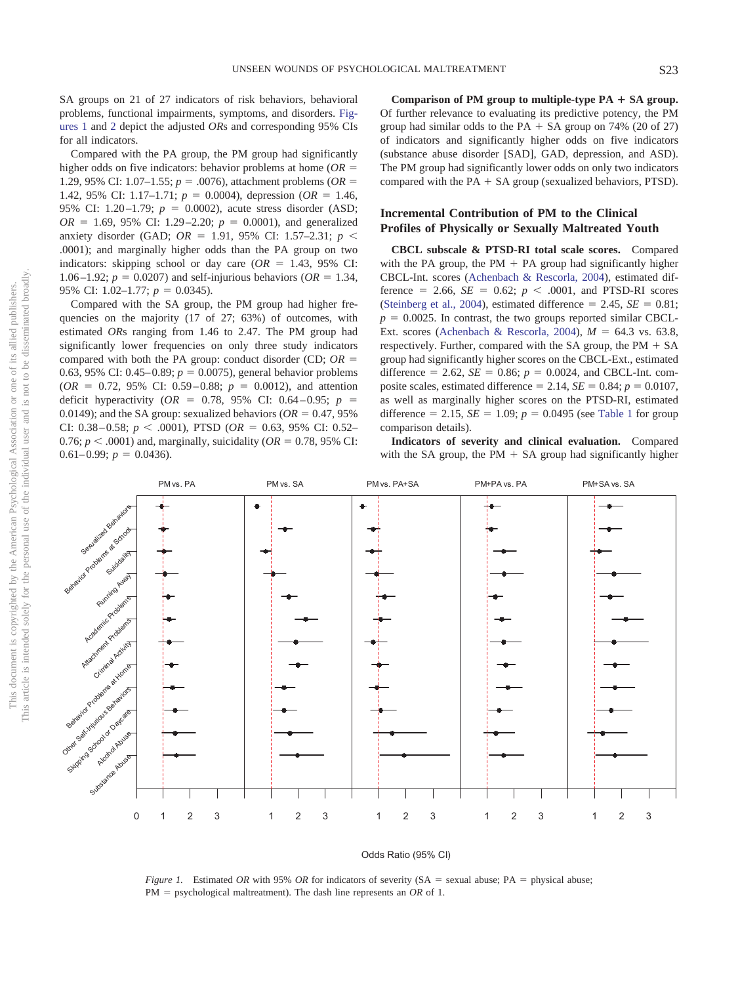SA groups on 21 of 27 indicators of risk behaviors, behavioral problems, functional impairments, symptoms, and disorders. [Fig](#page-5-0)[ures 1](#page-5-0) and [2](#page-6-0) depict the adjusted *OR*s and corresponding 95% CIs for all indicators.

Compared with the PA group, the PM group had significantly higher odds on five indicators: behavior problems at home (*OR* 1.29, 95% CI: 1.07–1.55;  $p = .0076$ ), attachment problems (*OR* = 1.42, 95% CI: 1.17–1.71;  $p = 0.0004$ ), depression ( $OR = 1.46$ , 95% CI: 1.20–1.79;  $p = 0.0002$ ), acute stress disorder (ASD;  $OR = 1.69, 95\%$  CI: 1.29–2.20;  $p = 0.0001$ ), and generalized anxiety disorder (GAD;  $OR = 1.91$ , 95% CI: 1.57–2.31;  $p <$ .0001); and marginally higher odds than the PA group on two indicators: skipping school or day care  $(OR = 1.43, 95\% \text{ CI:})$ 1.06 –1.92;  $p = 0.0207$ ) and self-injurious behaviors ( $OR = 1.34$ , 95% CI: 1.02–1.77;  $p = 0.0345$ ).

Compared with the SA group, the PM group had higher frequencies on the majority (17 of 27; 63%) of outcomes, with estimated *OR*s ranging from 1.46 to 2.47. The PM group had significantly lower frequencies on only three study indicators compared with both the PA group: conduct disorder (CD; *OR* 0.63, 95% CI: 0.45–0.89;  $p = 0.0075$ ), general behavior problems  $(OR = 0.72, 95\% \text{ CI: } 0.59 - 0.88; p = 0.0012)$ , and attention deficit hyperactivity ( $OR = 0.78$ , 95% CI: 0.64 – 0.95;  $p =$ 0.0149); and the SA group: sexualized behaviors ( $OR = 0.47, 95\%$ CI: 0.38 – 0.58;  $p < .0001$ ), PTSD ( $OR = 0.63$ , 95% CI: 0.52– 0.76;  $p < .0001$ ) and, marginally, suicidality ( $OR = 0.78$ , 95% CI:  $0.61 - 0.99$ ;  $p = 0.0436$ ).

**Comparison of PM group to multiple-type PA** - **SA group.** Of further relevance to evaluating its predictive potency, the PM group had similar odds to the PA  $+$  SA group on 74% (20 of 27) of indicators and significantly higher odds on five indicators (substance abuse disorder [SAD], GAD, depression, and ASD). The PM group had significantly lower odds on only two indicators compared with the  $PA + SA$  group (sexualized behaviors, PTSD).

# **Incremental Contribution of PM to the Clinical Profiles of Physically or Sexually Maltreated Youth**

**CBCL subscale & PTSD-RI total scale scores.** Compared with the PA group, the PM  $+$  PA group had significantly higher CBCL-Int. scores [\(Achenbach & Rescorla, 2004\)](#page-8-0), estimated difference  $= 2.66$ ,  $SE = 0.62$ ;  $p < .0001$ , and PTSD-RI scores [\(Steinberg et al., 2004\)](#page-10-0), estimated difference  $= 2.45$ ,  $SE = 0.81$ ;  $p = 0.0025$ . In contrast, the two groups reported similar CBCL-Ext. scores [\(Achenbach & Rescorla, 2004\)](#page-8-0),  $M = 64.3$  vs. 63.8, respectively. Further, compared with the SA group, the  $PM + SA$ group had significantly higher scores on the CBCL-Ext., estimated difference = 2.62, *SE* = 0.86;  $p = 0.0024$ , and CBCL-Int. composite scales, estimated difference  $= 2.14$ ,  $SE = 0.84$ ;  $p = 0.0107$ , as well as marginally higher scores on the PTSD-RI, estimated difference = 2.15,  $SE = 1.09$ ;  $p = 0.0495$  (see [Table 1](#page-3-0) for group comparison details).

**Indicators of severity and clinical evaluation.** Compared with the SA group, the PM  $+$  SA group had significantly higher



### Odds Ratio (95% CI)

<span id="page-5-0"></span>*Figure 1.* Estimated *OR* with 95% *OR* for indicators of severity (SA = sexual abuse; PA = physical abuse;  $PM =$  psychological maltreatment). The dash line represents an *OR* of 1.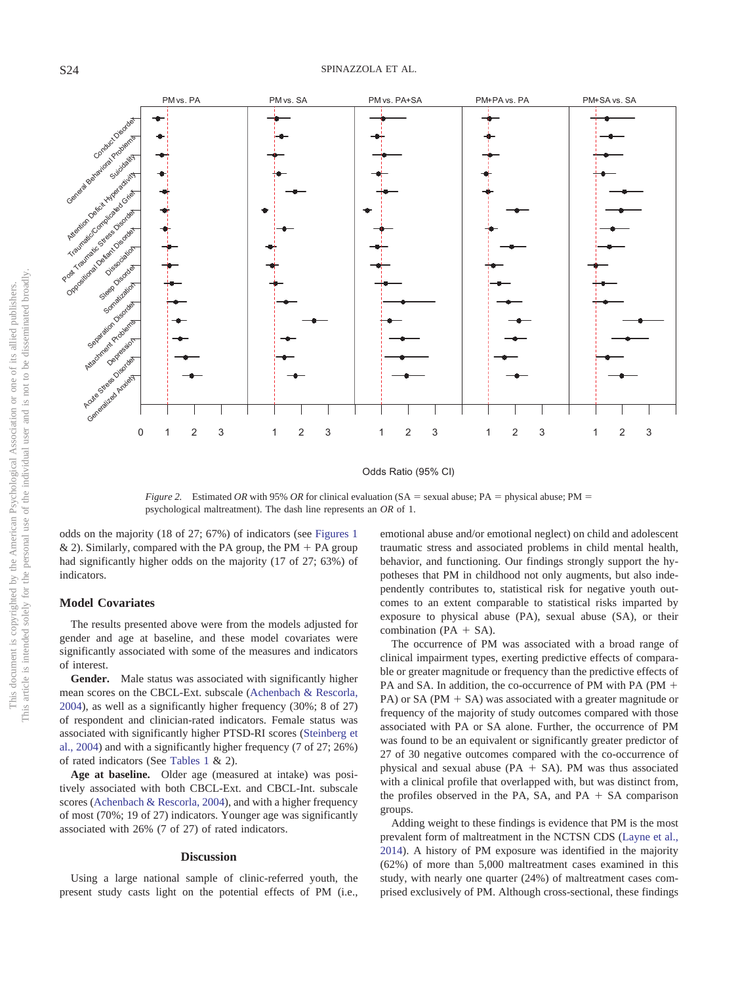0123 123 123 123 123 Generalized Antiety Action Canada prediseas Attachment Problems Separation Disorders and Somatization Sleep Disorder Dissociation Suicidairy ConductOisor PM vs. PA PM vs. SA PM vs. PA+SA PM+PA vs. PA PM+SA vs. SA

### Odds Ratio (95% CI)

<span id="page-6-0"></span>*Figure 2.* Estimated OR with 95% OR for clinical evaluation (SA = sexual abuse; PA = physical abuse; PM = psychological maltreatment). The dash line represents an *OR* of 1.

odds on the majority (18 of 27; 67%) of indicators (see [Figures 1](#page-5-0) & 2). Similarly, compared with the PA group, the PM  $+$  PA group had significantly higher odds on the majority (17 of 27; 63%) of indicators.

### **Model Covariates**

The results presented above were from the models adjusted for gender and age at baseline, and these model covariates were significantly associated with some of the measures and indicators of interest.

**Gender.** Male status was associated with significantly higher mean scores on the CBCL-Ext. subscale [\(Achenbach & Rescorla,](#page-8-0) [2004\)](#page-8-0), as well as a significantly higher frequency (30%; 8 of 27) of respondent and clinician-rated indicators. Female status was associated with significantly higher PTSD-RI scores [\(Steinberg et](#page-10-0) [al., 2004\)](#page-10-0) and with a significantly higher frequency (7 of 27; 26%) of rated indicators (See [Tables 1](#page-3-0) & 2).

**Age at baseline.** Older age (measured at intake) was positively associated with both CBCL-Ext. and CBCL-Int. subscale scores [\(Achenbach & Rescorla, 2004\)](#page-8-0), and with a higher frequency of most (70%; 19 of 27) indicators. Younger age was significantly associated with 26% (7 of 27) of rated indicators.

#### **Discussion**

Using a large national sample of clinic-referred youth, the present study casts light on the potential effects of PM (i.e.,

emotional abuse and/or emotional neglect) on child and adolescent traumatic stress and associated problems in child mental health, behavior, and functioning. Our findings strongly support the hypotheses that PM in childhood not only augments, but also independently contributes to, statistical risk for negative youth outcomes to an extent comparable to statistical risks imparted by exposure to physical abuse (PA), sexual abuse (SA), or their combination ( $PA + SA$ ).

The occurrence of PM was associated with a broad range of clinical impairment types, exerting predictive effects of comparable or greater magnitude or frequency than the predictive effects of PA and SA. In addition, the co-occurrence of PM with PA (PM + PA) or SA (PM  $+$  SA) was associated with a greater magnitude or frequency of the majority of study outcomes compared with those associated with PA or SA alone. Further, the occurrence of PM was found to be an equivalent or significantly greater predictor of 27 of 30 negative outcomes compared with the co-occurrence of physical and sexual abuse ( $PA + SA$ ). PM was thus associated with a clinical profile that overlapped with, but was distinct from, the profiles observed in the PA, SA, and PA  $+$  SA comparison groups.

Adding weight to these findings is evidence that PM is the most prevalent form of maltreatment in the NCTSN CDS [\(Layne et al.,](#page-9-0) [2014\)](#page-9-0). A history of PM exposure was identified in the majority (62%) of more than 5,000 maltreatment cases examined in this study, with nearly one quarter (24%) of maltreatment cases comprised exclusively of PM. Although cross-sectional, these findings

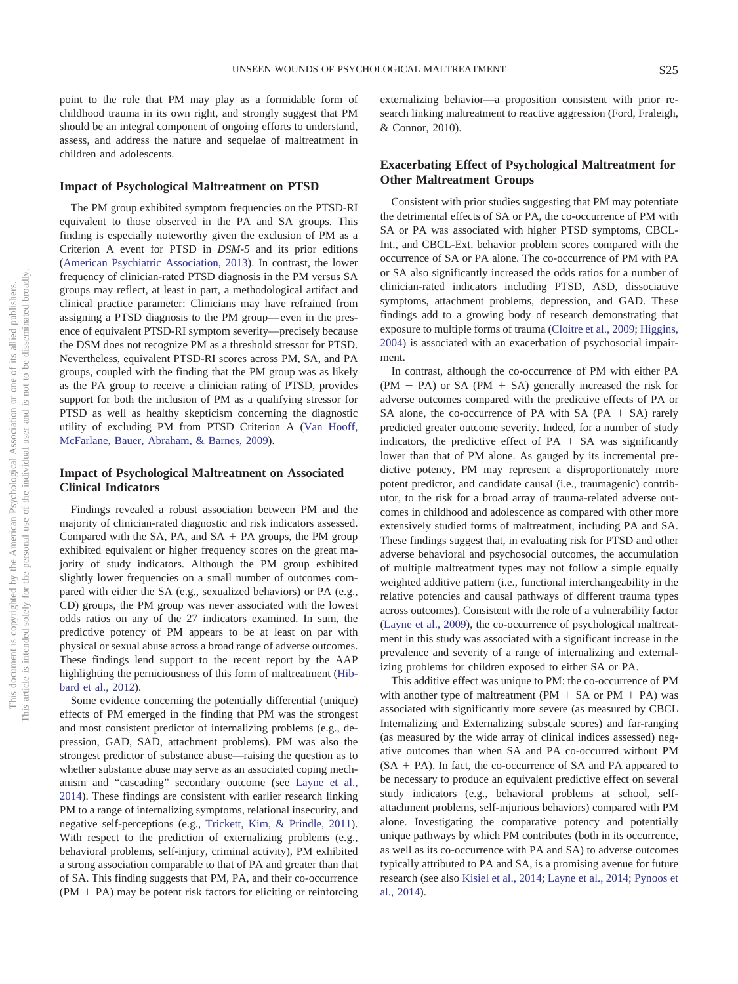point to the role that PM may play as a formidable form of childhood trauma in its own right, and strongly suggest that PM should be an integral component of ongoing efforts to understand, assess, and address the nature and sequelae of maltreatment in children and adolescents.

### **Impact of Psychological Maltreatment on PTSD**

The PM group exhibited symptom frequencies on the PTSD-RI equivalent to those observed in the PA and SA groups. This finding is especially noteworthy given the exclusion of PM as a Criterion A event for PTSD in *DSM-5* and its prior editions [\(American Psychiatric Association, 2013\)](#page-8-4). In contrast, the lower frequency of clinician-rated PTSD diagnosis in the PM versus SA groups may reflect, at least in part, a methodological artifact and clinical practice parameter: Clinicians may have refrained from assigning a PTSD diagnosis to the PM group— even in the presence of equivalent PTSD-RI symptom severity—precisely because the DSM does not recognize PM as a threshold stressor for PTSD. Nevertheless, equivalent PTSD-RI scores across PM, SA, and PA groups, coupled with the finding that the PM group was as likely as the PA group to receive a clinician rating of PTSD, provides support for both the inclusion of PM as a qualifying stressor for PTSD as well as healthy skepticism concerning the diagnostic utility of excluding PM from PTSD Criterion A [\(Van Hooff,](#page-10-12) [McFarlane, Bauer, Abraham, & Barnes, 2009\)](#page-10-12).

# **Impact of Psychological Maltreatment on Associated Clinical Indicators**

Findings revealed a robust association between PM and the majority of clinician-rated diagnostic and risk indicators assessed. Compared with the SA, PA, and  $SA + PA$  groups, the PM group exhibited equivalent or higher frequency scores on the great majority of study indicators. Although the PM group exhibited slightly lower frequencies on a small number of outcomes compared with either the SA (e.g., sexualized behaviors) or PA (e.g., CD) groups, the PM group was never associated with the lowest odds ratios on any of the 27 indicators examined. In sum, the predictive potency of PM appears to be at least on par with physical or sexual abuse across a broad range of adverse outcomes. These findings lend support to the recent report by the AAP highlighting the perniciousness of this form of maltreatment [\(Hib](#page-9-1)[bard et al., 2012\)](#page-9-1).

Some evidence concerning the potentially differential (unique) effects of PM emerged in the finding that PM was the strongest and most consistent predictor of internalizing problems (e.g., depression, GAD, SAD, attachment problems). PM was also the strongest predictor of substance abuse—raising the question as to whether substance abuse may serve as an associated coping mechanism and "cascading" secondary outcome (see [Layne et al.,](#page-9-0) [2014\)](#page-9-0). These findings are consistent with earlier research linking PM to a range of internalizing symptoms, relational insecurity, and negative self-perceptions (e.g., [Trickett, Kim, & Prindle, 2011\)](#page-10-13). With respect to the prediction of externalizing problems (e.g., behavioral problems, self-injury, criminal activity), PM exhibited a strong association comparable to that of PA and greater than that of SA. This finding suggests that PM, PA, and their co-occurrence  $(PM + PA)$  may be potent risk factors for eliciting or reinforcing

externalizing behavior—a proposition consistent with prior research linking maltreatment to reactive aggression (Ford, Fraleigh, & Connor, 2010).

# **Exacerbating Effect of Psychological Maltreatment for Other Maltreatment Groups**

Consistent with prior studies suggesting that PM may potentiate the detrimental effects of SA or PA, the co-occurrence of PM with SA or PA was associated with higher PTSD symptoms, CBCL-Int., and CBCL-Ext. behavior problem scores compared with the occurrence of SA or PA alone. The co-occurrence of PM with PA or SA also significantly increased the odds ratios for a number of clinician-rated indicators including PTSD, ASD, dissociative symptoms, attachment problems, depression, and GAD. These findings add to a growing body of research demonstrating that exposure to multiple forms of trauma [\(Cloitre et al., 2009;](#page-9-23) [Higgins,](#page-9-24) [2004\)](#page-9-24) is associated with an exacerbation of psychosocial impairment.

In contrast, although the co-occurrence of PM with either PA  $(PM + PA)$  or SA  $(PM + SA)$  generally increased the risk for adverse outcomes compared with the predictive effects of PA or SA alone, the co-occurrence of PA with SA  $(PA + SA)$  rarely predicted greater outcome severity. Indeed, for a number of study indicators, the predictive effect of  $PA + SA$  was significantly lower than that of PM alone. As gauged by its incremental predictive potency, PM may represent a disproportionately more potent predictor, and candidate causal (i.e., traumagenic) contributor, to the risk for a broad array of trauma-related adverse outcomes in childhood and adolescence as compared with other more extensively studied forms of maltreatment, including PA and SA. These findings suggest that, in evaluating risk for PTSD and other adverse behavioral and psychosocial outcomes, the accumulation of multiple maltreatment types may not follow a simple equally weighted additive pattern (i.e., functional interchangeability in the relative potencies and causal pathways of different trauma types across outcomes). Consistent with the role of a vulnerability factor [\(Layne et al., 2009\)](#page-9-16), the co-occurrence of psychological maltreatment in this study was associated with a significant increase in the prevalence and severity of a range of internalizing and externalizing problems for children exposed to either SA or PA.

This additive effect was unique to PM: the co-occurrence of PM with another type of maltreatment (PM  $+$  SA or PM  $+$  PA) was associated with significantly more severe (as measured by CBCL Internalizing and Externalizing subscale scores) and far-ranging (as measured by the wide array of clinical indices assessed) negative outcomes than when SA and PA co-occurred without PM  $(SA + PA)$ . In fact, the co-occurrence of SA and PA appeared to be necessary to produce an equivalent predictive effect on several study indicators (e.g., behavioral problems at school, selfattachment problems, self-injurious behaviors) compared with PM alone. Investigating the comparative potency and potentially unique pathways by which PM contributes (both in its occurrence, as well as its co-occurrence with PA and SA) to adverse outcomes typically attributed to PA and SA, is a promising avenue for future research (see also [Kisiel et al., 2014;](#page-9-21) [Layne et al., 2014;](#page-9-0) [Pynoos et](#page-9-20) [al., 2014\)](#page-9-20).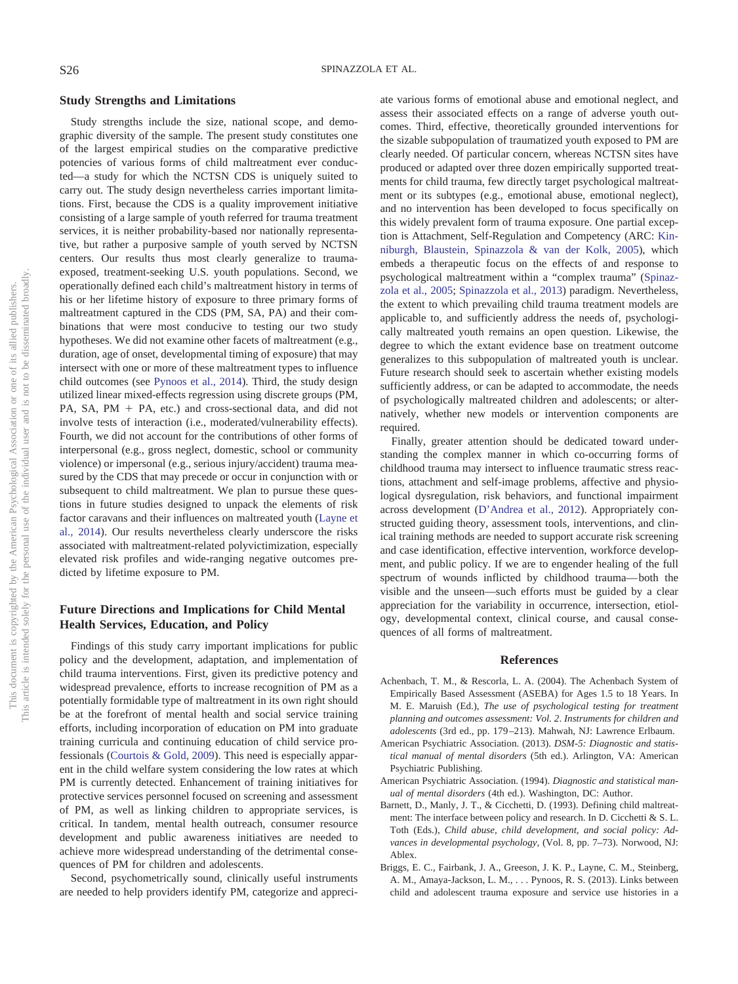### **Study Strengths and Limitations**

Study strengths include the size, national scope, and demographic diversity of the sample. The present study constitutes one of the largest empirical studies on the comparative predictive potencies of various forms of child maltreatment ever conducted—a study for which the NCTSN CDS is uniquely suited to carry out. The study design nevertheless carries important limitations. First, because the CDS is a quality improvement initiative consisting of a large sample of youth referred for trauma treatment services, it is neither probability-based nor nationally representative, but rather a purposive sample of youth served by NCTSN centers. Our results thus most clearly generalize to traumaexposed, treatment-seeking U.S. youth populations. Second, we operationally defined each child's maltreatment history in terms of his or her lifetime history of exposure to three primary forms of maltreatment captured in the CDS (PM, SA, PA) and their combinations that were most conducive to testing our two study hypotheses. We did not examine other facets of maltreatment (e.g., duration, age of onset, developmental timing of exposure) that may intersect with one or more of these maltreatment types to influence child outcomes (see [Pynoos et al., 2014\)](#page-9-20). Third, the study design utilized linear mixed-effects regression using discrete groups (PM, PA, SA,  $PM + PA$ , etc.) and cross-sectional data, and did not involve tests of interaction (i.e., moderated/vulnerability effects). Fourth, we did not account for the contributions of other forms of interpersonal (e.g., gross neglect, domestic, school or community violence) or impersonal (e.g., serious injury/accident) trauma measured by the CDS that may precede or occur in conjunction with or subsequent to child maltreatment. We plan to pursue these questions in future studies designed to unpack the elements of risk factor caravans and their influences on maltreated youth [\(Layne et](#page-9-0) [al., 2014\)](#page-9-0). Our results nevertheless clearly underscore the risks associated with maltreatment-related polyvictimization, especially elevated risk profiles and wide-ranging negative outcomes predicted by lifetime exposure to PM.

# **Future Directions and Implications for Child Mental Health Services, Education, and Policy**

Findings of this study carry important implications for public policy and the development, adaptation, and implementation of child trauma interventions. First, given its predictive potency and widespread prevalence, efforts to increase recognition of PM as a potentially formidable type of maltreatment in its own right should be at the forefront of mental health and social service training efforts, including incorporation of education on PM into graduate training curricula and continuing education of child service professionals [\(Courtois & Gold, 2009\)](#page-9-25). This need is especially apparent in the child welfare system considering the low rates at which PM is currently detected. Enhancement of training initiatives for protective services personnel focused on screening and assessment of PM, as well as linking children to appropriate services, is critical. In tandem, mental health outreach, consumer resource development and public awareness initiatives are needed to achieve more widespread understanding of the detrimental consequences of PM for children and adolescents.

Second, psychometrically sound, clinically useful instruments are needed to help providers identify PM, categorize and appreci-

ate various forms of emotional abuse and emotional neglect, and assess their associated effects on a range of adverse youth outcomes. Third, effective, theoretically grounded interventions for the sizable subpopulation of traumatized youth exposed to PM are clearly needed. Of particular concern, whereas NCTSN sites have produced or adapted over three dozen empirically supported treatments for child trauma, few directly target psychological maltreatment or its subtypes (e.g., emotional abuse, emotional neglect), and no intervention has been developed to focus specifically on this widely prevalent form of trauma exposure. One partial exception is Attachment, Self-Regulation and Competency (ARC: [Kin](#page-9-26)[niburgh, Blaustein, Spinazzola & van der Kolk, 2005\)](#page-9-26), which embeds a therapeutic focus on the effects of and response to psychological maltreatment within a "complex trauma" [\(Spinaz](#page-9-27)[zola et al., 2005;](#page-9-27) [Spinazzola et al., 2013\)](#page-10-14) paradigm. Nevertheless, the extent to which prevailing child trauma treatment models are applicable to, and sufficiently address the needs of, psychologically maltreated youth remains an open question. Likewise, the degree to which the extant evidence base on treatment outcome generalizes to this subpopulation of maltreated youth is unclear. Future research should seek to ascertain whether existing models sufficiently address, or can be adapted to accommodate, the needs of psychologically maltreated children and adolescents; or alternatively, whether new models or intervention components are required.

Finally, greater attention should be dedicated toward understanding the complex manner in which co-occurring forms of childhood trauma may intersect to influence traumatic stress reactions, attachment and self-image problems, affective and physiological dysregulation, risk behaviors, and functional impairment across development [\(D'Andrea et al., 2012\)](#page-9-7). Appropriately constructed guiding theory, assessment tools, interventions, and clinical training methods are needed to support accurate risk screening and case identification, effective intervention, workforce development, and public policy. If we are to engender healing of the full spectrum of wounds inflicted by childhood trauma— both the visible and the unseen—such efforts must be guided by a clear appreciation for the variability in occurrence, intersection, etiology, developmental context, clinical course, and causal consequences of all forms of maltreatment.

### **References**

- <span id="page-8-0"></span>Achenbach, T. M., & Rescorla, L. A. (2004). The Achenbach System of Empirically Based Assessment (ASEBA) for Ages 1.5 to 18 Years. In M. E. Maruish (Ed.), *The use of psychological testing for treatment planning and outcomes assessment: Vol. 2*. *Instruments for children and adolescents* (3rd ed., pp. 179 –213). Mahwah, NJ: Lawrence Erlbaum.
- <span id="page-8-4"></span>American Psychiatric Association. (2013). *DSM-5: Diagnostic and statistical manual of mental disorders* (5th ed.). Arlington, VA: American Psychiatric Publishing.
- <span id="page-8-3"></span>American Psychiatric Association. (1994). *Diagnostic and statistical manual of mental disorders* (4th ed.). Washington, DC: Author.
- <span id="page-8-1"></span>Barnett, D., Manly, J. T., & Cicchetti, D. (1993). Defining child maltreatment: The interface between policy and research. In D. Cicchetti & S. L. Toth (Eds.), *Child abuse, child development, and social policy: Advances in developmental psychology,* (Vol. 8, pp. 7–73). Norwood, NJ: Ablex.
- <span id="page-8-2"></span>Briggs, E. C., Fairbank, J. A., Greeson, J. K. P., Layne, C. M., Steinberg, A. M., Amaya-Jackson, L. M.,... Pynoos, R. S. (2013). Links between child and adolescent trauma exposure and service use histories in a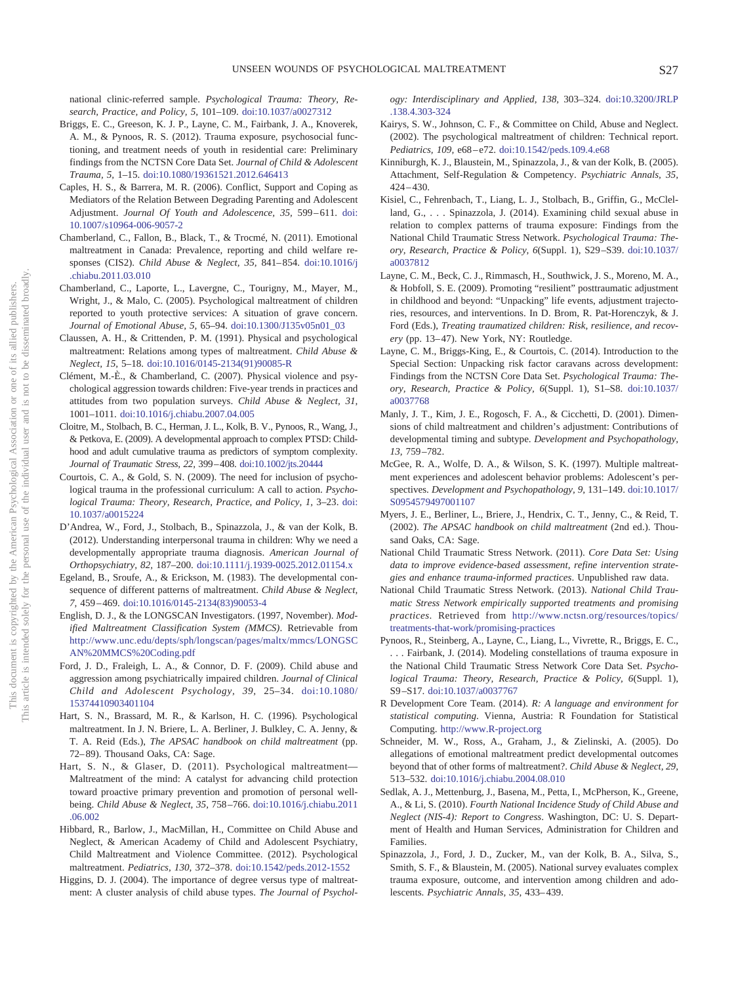national clinic-referred sample. *Psychological Trauma: Theory, Research, Practice, and Policy, 5,* 101–109. [doi:10.1037/a0027312](http://dx.doi.org/10.1037/a0027312)

- <span id="page-9-19"></span>Briggs, E. C., Greeson, K. J. P., Layne, C. M., Fairbank, J. A., Knoverek, A. M., & Pynoos, R. S. (2012). Trauma exposure, psychosocial functioning, and treatment needs of youth in residential care: Preliminary findings from the NCTSN Core Data Set. *Journal of Child & Adolescent Trauma, 5,* 1–15. [doi:10.1080/19361521.2012.646413](http://dx.doi.org/10.1080/19361521.2012.646413)
- <span id="page-9-17"></span>Caples, H. S., & Barrera, M. R. (2006). Conflict, Support and Coping as Mediators of the Relation Between Degrading Parenting and Adolescent Adjustment. *Journal Of Youth and Adolescence*, 35, 599-611. [doi:](http://dx.doi.org/10.1007/s10964-006-9057-2) [10.1007/s10964-006-9057-2](http://dx.doi.org/10.1007/s10964-006-9057-2)
- <span id="page-9-2"></span>Chamberland, C., Fallon, B., Black, T., & Trocmé, N. (2011). Emotional maltreatment in Canada: Prevalence, reporting and child welfare responses (CIS2). *Child Abuse & Neglect, 35,* 841– 854. [doi:10.1016/j](http://dx.doi.org/10.1016/j.chiabu.2011.03.010) [.chiabu.2011.03.010](http://dx.doi.org/10.1016/j.chiabu.2011.03.010)
- <span id="page-9-10"></span>Chamberland, C., Laporte, L., Lavergne, C., Tourigny, M., Mayer, M., Wright, J., & Malo, C. (2005). Psychological maltreatment of children reported to youth protective services: A situation of grave concern. *Journal of Emotional Abuse, 5,* 65–94. [doi:10.1300/J135v05n01\\_03](http://dx.doi.org/10.1300/J135v05n01_03)
- Claussen, A. H., & Crittenden, P. M. (1991). Physical and psychological maltreatment: Relations among types of maltreatment. *Child Abuse & Neglect, 15,* 5–18. [doi:10.1016/0145-2134\(91\)90085-R](http://dx.doi.org/10.1016/0145-2134%2891%2990085-R)
- <span id="page-9-11"></span>Clément, M.-È., & Chamberland, C. (2007). Physical violence and psychological aggression towards children: Five-year trends in practices and attitudes from two population surveys. *Child Abuse & Neglect, 31,* 1001–1011. [doi:10.1016/j.chiabu.2007.04.005](http://dx.doi.org/10.1016/j.chiabu.2007.04.005)
- <span id="page-9-23"></span>Cloitre, M., Stolbach, B. C., Herman, J. L., Kolk, B. V., Pynoos, R., Wang, J., & Petkova, E. (2009). A developmental approach to complex PTSD: Childhood and adult cumulative trauma as predictors of symptom complexity. *Journal of Traumatic Stress, 22,* 399 – 408. [doi:10.1002/jts.20444](http://dx.doi.org/10.1002/jts.20444)
- <span id="page-9-25"></span>Courtois, C. A., & Gold, S. N. (2009). The need for inclusion of psychological trauma in the professional curriculum: A call to action. *Psychological Trauma: Theory, Research, Practice, and Policy, 1,* 3–23. [doi:](http://dx.doi.org/10.1037/a0015224) [10.1037/a0015224](http://dx.doi.org/10.1037/a0015224)
- <span id="page-9-7"></span>D'Andrea, W., Ford, J., Stolbach, B., Spinazzola, J., & van der Kolk, B. (2012). Understanding interpersonal trauma in children: Why we need a developmentally appropriate trauma diagnosis. *American Journal of Orthopsychiatry, 82,* 187–200. [doi:10.1111/j.1939-0025.2012.01154.x](http://dx.doi.org/10.1111/j.1939-0025.2012.01154.x)
- <span id="page-9-8"></span>Egeland, B., Sroufe, A., & Erickson, M. (1983). The developmental consequence of different patterns of maltreatment. *Child Abuse & Neglect, 7,* 459 – 469. [doi:10.1016/0145-2134\(83\)90053-4](http://dx.doi.org/10.1016/0145-2134%2883%2990053-4)
- <span id="page-9-6"></span>English, D. J., & the LONGSCAN Investigators. (1997, November). *Modified Maltreatment Classification System (MMCS)*. Retrievable from [http://www.unc.edu/depts/sph/longscan/pages/maltx/mmcs/LONGSC](http://www.unc.edu/depts/sph/longscan/pages/maltx/mmcs/LONGSCAN%20MMCS%20Coding.pdf) [AN%20MMCS%20Coding.pdf](http://www.unc.edu/depts/sph/longscan/pages/maltx/mmcs/LONGSCAN%20MMCS%20Coding.pdf)
- Ford, J. D., Fraleigh, L. A., & Connor, D. F. (2009). Child abuse and aggression among psychiatrically impaired children. *Journal of Clinical Child and Adolescent Psychology, 39,* 25–34. [doi:10.1080/](http://dx.doi.org/10.1080/15374410903401104) [15374410903401104](http://dx.doi.org/10.1080/15374410903401104)
- <span id="page-9-9"></span>Hart, S. N., Brassard, M. R., & Karlson, H. C. (1996). Psychological maltreatment. In J. N. Briere, L. A. Berliner, J. Bulkley, C. A. Jenny, & T. A. Reid (Eds.), *The APSAC handbook on child maltreatment* (pp. 72– 89). Thousand Oaks, CA: Sage.
- <span id="page-9-12"></span>Hart, S. N., & Glaser, D. (2011). Psychological maltreatment— Maltreatment of the mind: A catalyst for advancing child protection toward proactive primary prevention and promotion of personal wellbeing. *Child Abuse & Neglect, 35,* 758 –766. [doi:10.1016/j.chiabu.2011](http://dx.doi.org/10.1016/j.chiabu.2011.06.002) [.06.002](http://dx.doi.org/10.1016/j.chiabu.2011.06.002)
- <span id="page-9-1"></span>Hibbard, R., Barlow, J., MacMillan, H., Committee on Child Abuse and Neglect, & American Academy of Child and Adolescent Psychiatry, Child Maltreatment and Violence Committee. (2012). Psychological maltreatment. *Pediatrics, 130,* 372–378. [doi:10.1542/peds.2012-1552](http://dx.doi.org/10.1542/peds.2012-1552)
- <span id="page-9-24"></span>Higgins, D. J. (2004). The importance of degree versus type of maltreatment: A cluster analysis of child abuse types. *The Journal of Psychol-*

*ogy: Interdisciplinary and Applied, 138,* 303–324. [doi:10.3200/JRLP](http://dx.doi.org/10.3200/JRLP.138.4.303-324) [.138.4.303-324](http://dx.doi.org/10.3200/JRLP.138.4.303-324)

- <span id="page-9-5"></span>Kairys, S. W., Johnson, C. F., & Committee on Child, Abuse and Neglect. (2002). The psychological maltreatment of children: Technical report. *Pediatrics, 109,* e68 – e72. [doi:10.1542/peds.109.4.e68](http://dx.doi.org/10.1542/peds.109.4.e68)
- <span id="page-9-26"></span>Kinniburgh, K. J., Blaustein, M., Spinazzola, J., & van der Kolk, B. (2005). Attachment, Self-Regulation & Competency. *Psychiatric Annals, 35,* 424 – 430.
- <span id="page-9-21"></span>Kisiel, C., Fehrenbach, T., Liang, L. J., Stolbach, B., Griffin, G., McClelland, G.,... Spinazzola, J. (2014). Examining child sexual abuse in relation to complex patterns of trauma exposure: Findings from the National Child Traumatic Stress Network. *Psychological Trauma: Theory, Research, Practice & Policy, 6*(Suppl. 1), S29 –S39. [doi:10.1037/](http://dx.doi.org/10.1037/a0037812) [a0037812](http://dx.doi.org/10.1037/a0037812)
- <span id="page-9-16"></span>Layne, C. M., Beck, C. J., Rimmasch, H., Southwick, J. S., Moreno, M. A., & Hobfoll, S. E. (2009). Promoting "resilient" posttraumatic adjustment in childhood and beyond: "Unpacking" life events, adjustment trajectories, resources, and interventions. In D. Brom, R. Pat-Horenczyk, & J. Ford (Eds.), *Treating traumatized children: Risk, resilience, and recov*ery (pp. 13-47). New York, NY: Routledge.
- <span id="page-9-0"></span>Layne, C. M., Briggs-King, E., & Courtois, C. (2014). Introduction to the Special Section: Unpacking risk factor caravans across development: Findings from the NCTSN Core Data Set. *Psychological Trauma: Theory, Research, Practice & Policy, 6*(Suppl. 1), S1–S8. [doi:10.1037/](http://dx.doi.org/10.1037/a0037768) [a0037768](http://dx.doi.org/10.1037/a0037768)
- <span id="page-9-18"></span>Manly, J. T., Kim, J. E., Rogosch, F. A., & Cicchetti, D. (2001). Dimensions of child maltreatment and children's adjustment: Contributions of developmental timing and subtype. *Development and Psychopathology, 13,* 759 –782.
- <span id="page-9-15"></span>McGee, R. A., Wolfe, D. A., & Wilson, S. K. (1997). Multiple maltreatment experiences and adolescent behavior problems: Adolescent's perspectives. *Development and Psychopathology, 9,* 131–149. [doi:10.1017/](http://dx.doi.org/10.1017/S0954579497001107) [S0954579497001107](http://dx.doi.org/10.1017/S0954579497001107)
- <span id="page-9-4"></span>Myers, J. E., Berliner, L., Briere, J., Hendrix, C. T., Jenny, C., & Reid, T. (2002). *The APSAC handbook on child maltreatment* (2nd ed.). Thousand Oaks, CA: Sage.
- <span id="page-9-13"></span>National Child Traumatic Stress Network. (2011). *Core Data Set: Using data to improve evidence-based assessment, refine intervention strategies and enhance trauma-informed practices*. Unpublished raw data.
- National Child Traumatic Stress Network. (2013). *National Child Traumatic Stress Network empirically supported treatments and promising practices*. Retrieved from [http://www.nctsn.org/resources/topics/](http://www.nctsn.org/resources/topics/treatments-that-work/promising-practices) [treatments-that-work/promising-practices](http://www.nctsn.org/resources/topics/treatments-that-work/promising-practices)
- <span id="page-9-20"></span>Pynoos, R., Steinberg, A., Layne, C., Liang, L., Vivrette, R., Briggs, E. C., Fairbank, J. (2014). Modeling constellations of trauma exposure in the National Child Traumatic Stress Network Core Data Set. *Psychological Trauma: Theory, Research, Practice & Policy, 6*(Suppl. 1), S9 –S17. [doi:10.1037/a0037767](http://dx.doi.org/10.1037/a0037767)
- <span id="page-9-22"></span>R Development Core Team. (2014). *R: A language and environment for statistical computing*. Vienna, Austria: R Foundation for Statistical Computing. <http://www.R-project.org>
- <span id="page-9-14"></span>Schneider, M. W., Ross, A., Graham, J., & Zielinski, A. (2005). Do allegations of emotional maltreatment predict developmental outcomes beyond that of other forms of maltreatment?. *Child Abuse & Neglect, 29,* 513–532. [doi:10.1016/j.chiabu.2004.08.010](http://dx.doi.org/10.1016/j.chiabu.2004.08.010)
- <span id="page-9-3"></span>Sedlak, A. J., Mettenburg, J., Basena, M., Petta, I., McPherson, K., Greene, A., & Li, S. (2010). *Fourth National Incidence Study of Child Abuse and Neglect (NIS-4): Report to Congress*. Washington, DC: U. S. Department of Health and Human Services, Administration for Children and Families.
- <span id="page-9-27"></span>Spinazzola, J., Ford, J. D., Zucker, M., van der Kolk, B. A., Silva, S., Smith, S. F., & Blaustein, M. (2005). National survey evaluates complex trauma exposure, outcome, and intervention among children and adolescents. *Psychiatric Annals, 35,* 433– 439.